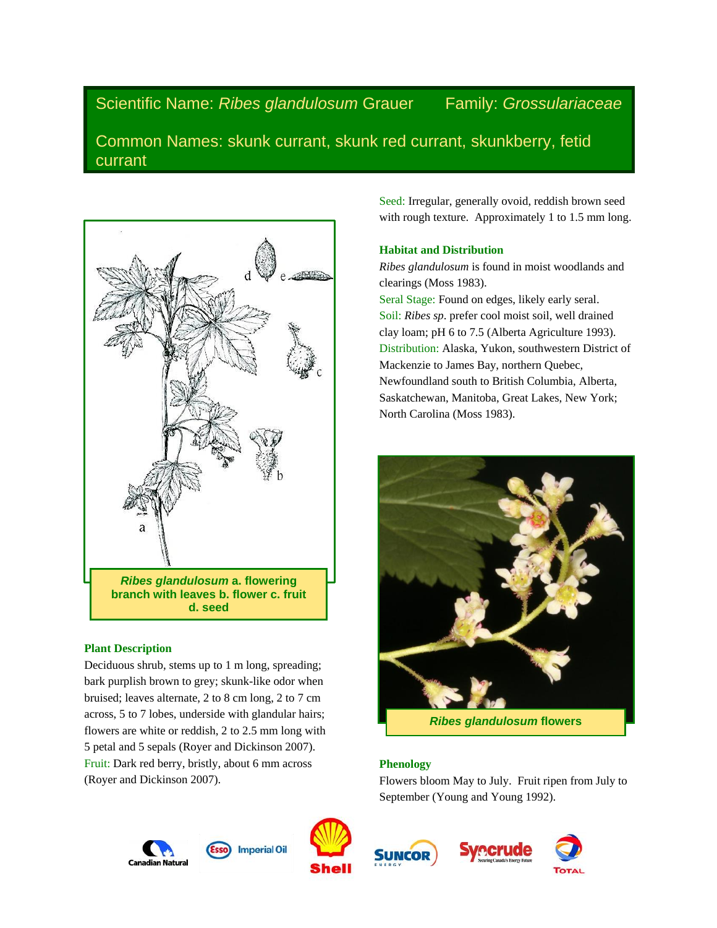Scientific Name: *Ribes glandulosum* Grauer Family: *Grossulariaceae*

Common Names: skunk currant, skunk red currant, skunkberry, fetid currant



## **Plant Description**

Deciduous shrub, stems up to 1 m long, spreading; bark purplish brown to grey; skunk-like odor when bruised; leaves alternate, 2 to 8 cm long, 2 to 7 cm across, 5 to 7 lobes, underside with glandular hairs; flowers are white or reddish, 2 to 2.5 mm long with 5 petal and 5 sepals (Royer and Dickinson 2007). Fruit: Dark red berry, bristly, about 6 mm across (Royer and Dickinson 2007).

Seed: Irregular, generally ovoid, reddish brown seed with rough texture. Approximately 1 to 1.5 mm long.

# **Habitat and Distribution**

*Ribes glandulosum* is found in moist woodlands and clearings (Moss 1983).

Seral Stage: Found on edges, likely early seral. Soil: *Ribes sp*. prefer cool moist soil, well drained clay loam; pH 6 to 7.5 (Alberta Agriculture 1993). Distribution: Alaska, Yukon, southwestern District of Mackenzie to James Bay, northern Quebec, Newfoundland south to British Columbia, Alberta, Saskatchewan, Manitoba, Great Lakes, New York; North Carolina (Moss 1983).



*Ribes glandulosum* **flowers**

## **Phenology**

Flowers bloom May to July. Fruit ripen from July to September (Young and Young 1992).







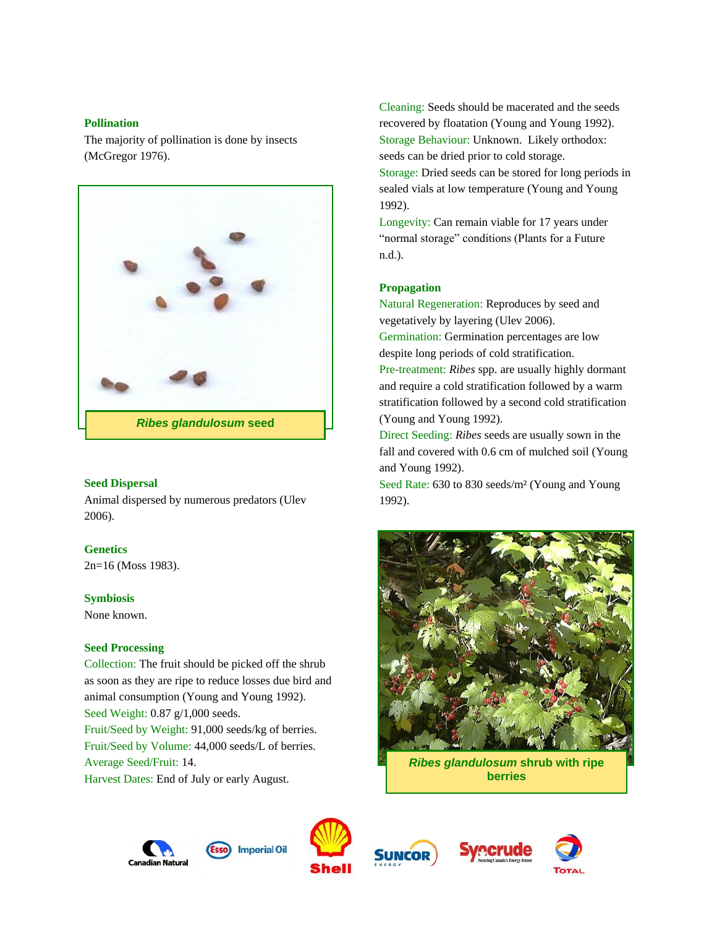### **Pollination**

The majority of pollination is done by insects (McGregor 1976).



## **Seed Dispersal**

Animal dispersed by numerous predators (Ulev 2006).

## **Genetics**

2n=16 (Moss 1983).

## **Symbiosis**

None known.

## **Seed Processing**

Collection: The fruit should be picked off the shrub as soon as they are ripe to reduce losses due bird and animal consumption (Young and Young 1992). Seed Weight: 0.87 g/1,000 seeds. Fruit/Seed by Weight: 91,000 seeds/kg of berries. Fruit/Seed by Volume: 44,000 seeds/L of berries. Average Seed/Fruit: 14. Harvest Dates: End of July or early August.

Cleaning: Seeds should be macerated and the seeds recovered by floatation (Young and Young 1992). Storage Behaviour: Unknown. Likely orthodox: seeds can be dried prior to cold storage. Storage: Dried seeds can be stored for long periods in sealed vials at low temperature (Young and Young 1992).

Longevity: Can remain viable for 17 years under "normal storage" conditions (Plants for a Future n.d.).

### **Propagation**

Natural Regeneration: Reproduces by seed and vegetatively by layering (Ulev 2006).

Germination: Germination percentages are low despite long periods of cold stratification.

Pre-treatment: *Ribes* spp. are usually highly dormant and require a cold stratification followed by a warm stratification followed by a second cold stratification (Young and Young 1992).

Direct Seeding: *Ribes* seeds are usually sown in the fall and covered with 0.6 cm of mulched soil (Young and Young 1992).

Seed Rate: 630 to 830 seeds/m² (Young and Young 1992).



*Ribes glandulosum* **shrub with ripe berries**









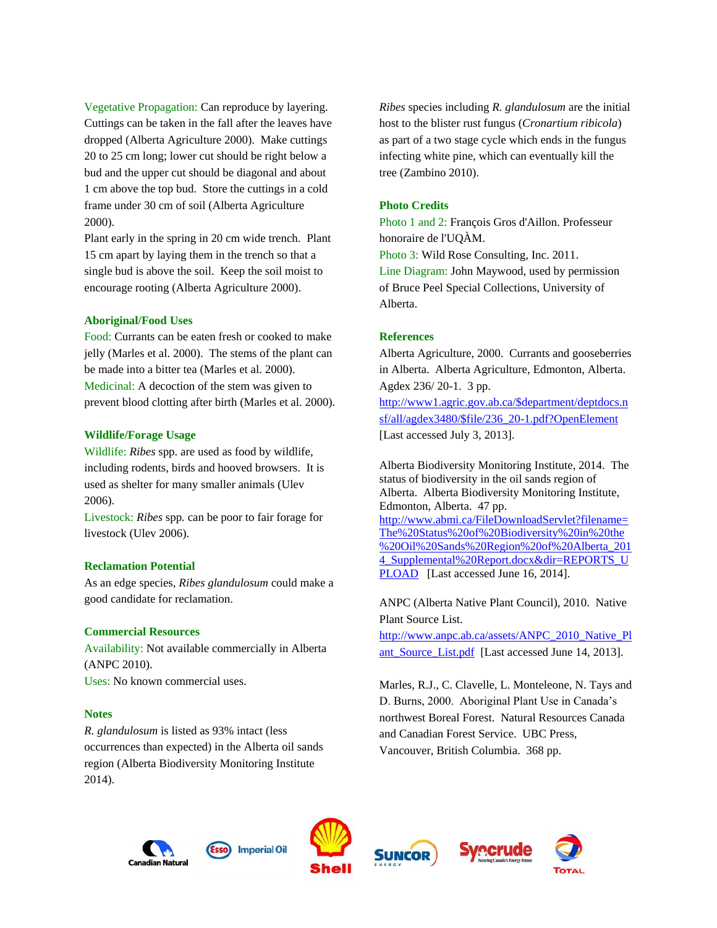Vegetative Propagation: Can reproduce by layering. Cuttings can be taken in the fall after the leaves have dropped (Alberta Agriculture 2000). Make cuttings 20 to 25 cm long; lower cut should be right below a bud and the upper cut should be diagonal and about 1 cm above the top bud. Store the cuttings in a cold frame under 30 cm of soil (Alberta Agriculture 2000).

Plant early in the spring in 20 cm wide trench. Plant 15 cm apart by laying them in the trench so that a single bud is above the soil. Keep the soil moist to encourage rooting (Alberta Agriculture 2000).

#### **Aboriginal/Food Uses**

Food: Currants can be eaten fresh or cooked to make jelly (Marles et al. 2000). The stems of the plant can be made into a bitter tea (Marles et al. 2000). Medicinal: A decoction of the stem was given to prevent blood clotting after birth (Marles et al. 2000).

#### **Wildlife/Forage Usage**

Wildlife: *Ribes* spp. are used as food by wildlife, including rodents, birds and hooved browsers. It is used as shelter for many smaller animals (Ulev 2006).

Livestock: *Ribes* spp*.* can be poor to fair forage for livestock (Ulev 2006).

#### **Reclamation Potential**

As an edge species, *Ribes glandulosum* could make a good candidate for reclamation.

### **Commercial Resources**

Availability: Not available commercially in Alberta (ANPC 2010). Uses: No known commercial uses.

#### **Notes**

*R. glandulosum* is listed as 93% intact (less occurrences than expected) in the Alberta oil sands region (Alberta Biodiversity Monitoring Institute 2014).

*Ribes* species including *R. glandulosum* are the initial host to the blister rust fungus (*Cronartium ribicola*) as part of a two stage cycle which ends in the fungus infecting white pine, which can eventually kill the tree (Zambino 2010).

## **Photo Credits**

Photo 1 and 2: François Gros d'Aillon. Professeur honoraire de l'UQÀM. Photo 3: Wild Rose Consulting, Inc. 2011. Line Diagram: John Maywood, used by permission of Bruce Peel Special Collections, University of Alberta.

#### **References**

Alberta Agriculture, 2000. Currants and gooseberries in Alberta. Alberta Agriculture, Edmonton, Alberta. Agdex 236/ 20-1. 3 pp.

[http://www1.agric.gov.ab.ca/\\$department/deptdocs.n](http://www1.agric.gov.ab.ca/$department/deptdocs.nsf/all/agdex3480/$file/236_20-1.pdf?OpenElement) [sf/all/agdex3480/\\$file/236\\_20-1.pdf?OpenElement](http://www1.agric.gov.ab.ca/$department/deptdocs.nsf/all/agdex3480/$file/236_20-1.pdf?OpenElement)  [Last accessed July 3, 2013].

Alberta Biodiversity Monitoring Institute, 2014. The status of biodiversity in the oil sands region of Alberta. Alberta Biodiversity Monitoring Institute, Edmonton, Alberta. 47 pp. [http://www.abmi.ca/FileDownloadServlet?filename=](http://www.abmi.ca/FileDownloadServlet?filename=The%20Status%20of%20Biodiversity%20in%20the%20Oil%20Sands%20Region%20of%20Alberta_2014_Supplemental%20Report.docx&dir=REPORTS_UPLOAD) [The%20Status%20of%20Biodiversity%20in%20the](http://www.abmi.ca/FileDownloadServlet?filename=The%20Status%20of%20Biodiversity%20in%20the%20Oil%20Sands%20Region%20of%20Alberta_2014_Supplemental%20Report.docx&dir=REPORTS_UPLOAD) [%20Oil%20Sands%20Region%20of%20Alberta\\_201](http://www.abmi.ca/FileDownloadServlet?filename=The%20Status%20of%20Biodiversity%20in%20the%20Oil%20Sands%20Region%20of%20Alberta_2014_Supplemental%20Report.docx&dir=REPORTS_UPLOAD) [4\\_Supplemental%20Report.docx&dir=REPORTS\\_U](http://www.abmi.ca/FileDownloadServlet?filename=The%20Status%20of%20Biodiversity%20in%20the%20Oil%20Sands%20Region%20of%20Alberta_2014_Supplemental%20Report.docx&dir=REPORTS_UPLOAD) [PLOAD](http://www.abmi.ca/FileDownloadServlet?filename=The%20Status%20of%20Biodiversity%20in%20the%20Oil%20Sands%20Region%20of%20Alberta_2014_Supplemental%20Report.docx&dir=REPORTS_UPLOAD) [Last accessed June 16, 2014].

ANPC (Alberta Native Plant Council), 2010. Native Plant Source List.

[http://www.anpc.ab.ca/assets/ANPC\\_2010\\_Native\\_Pl](http://www.anpc.ab.ca/assets/ANPC_2010_Native_Plant_Source_List.pdf) ant Source List.pdf [Last accessed June 14, 2013].

Marles, R.J., C. Clavelle, L. Monteleone, N. Tays and D. Burns, 2000. Aboriginal Plant Use in Canada's northwest Boreal Forest. Natural Resources Canada and Canadian Forest Service. UBC Press, Vancouver, British Columbia. 368 pp.